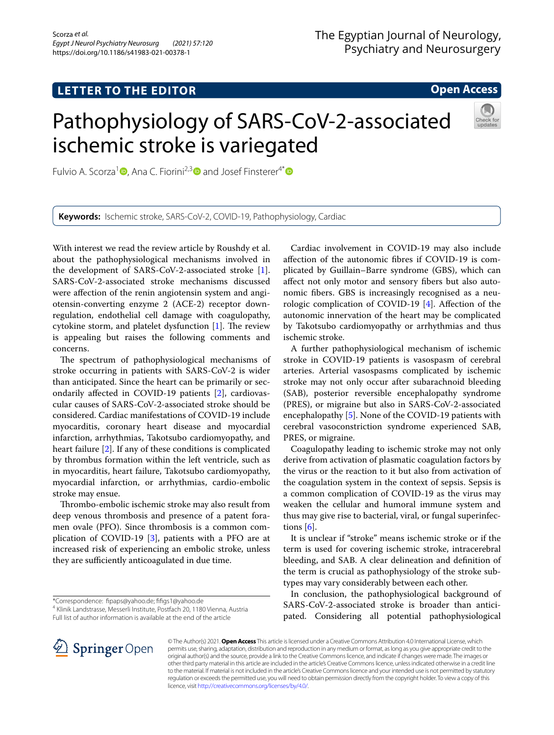## **LETTER TO THE EDITOR**

## **Open Access**

# Pathophysiology of SARS-CoV-2-associated ischemic stroke is variegated



Fulvio A. Scorza<sup>1</sup><sup>0</sup>[,](http://orcid.org/0000-0002-0694-8674) Ana C. Fiorini<sup>2,[3](http://orcid.org/0000-0001-7810-4748)</sup><sup>0</sup> and Josef Finsterer<sup>4[\\*](http://orcid.org/0000-0003-2839-7305)</sup><sup>0</sup>

**Keywords:** Ischemic stroke, SARS-CoV-2, COVID-19, Pathophysiology, Cardiac

With interest we read the review article by Roushdy et al. about the pathophysiological mechanisms involved in the development of SARS-CoV-2-associated stroke [\[1](#page-1-0)]. SARS-CoV-2-associated stroke mechanisms discussed were afection of the renin angiotensin system and angiotensin-converting enzyme 2 (ACE-2) receptor downregulation, endothelial cell damage with coagulopathy, cytokine storm, and platelet dysfunction  $[1]$  $[1]$ . The review is appealing but raises the following comments and concerns.

The spectrum of pathophysiological mechanisms of stroke occurring in patients with SARS-CoV-2 is wider than anticipated. Since the heart can be primarily or secondarily afected in COVID-19 patients [\[2](#page-1-1)], cardiovascular causes of SARS-CoV-2-associated stroke should be considered. Cardiac manifestations of COVID-19 include myocarditis, coronary heart disease and myocardial infarction, arrhythmias, Takotsubo cardiomyopathy, and heart failure [[2](#page-1-1)]. If any of these conditions is complicated by thrombus formation within the left ventricle, such as in myocarditis, heart failure, Takotsubo cardiomyopathy, myocardial infarction, or arrhythmias, cardio-embolic stroke may ensue.

Thrombo-embolic ischemic stroke may also result from deep venous thrombosis and presence of a patent foramen ovale (PFO). Since thrombosis is a common complication of COVID-19 [\[3](#page-1-2)], patients with a PFO are at increased risk of experiencing an embolic stroke, unless they are sufficiently anticoagulated in due time.

4 Klinik Landstrasse, Messerli Institute, Postfach 20, 1180 Vienna, Austria

Full list of author information is available at the end of the article

Cardiac involvement in COVID-19 may also include afection of the autonomic fbres if COVID-19 is complicated by Guillain–Barre syndrome (GBS), which can afect not only motor and sensory fbers but also autonomic fbers. GBS is increasingly recognised as a neurologic complication of COVID-19 [[4\]](#page-1-3). Afection of the autonomic innervation of the heart may be complicated by Takotsubo cardiomyopathy or arrhythmias and thus ischemic stroke.

A further pathophysiological mechanism of ischemic stroke in COVID-19 patients is vasospasm of cerebral arteries. Arterial vasospasms complicated by ischemic stroke may not only occur after subarachnoid bleeding (SAB), posterior reversible encephalopathy syndrome (PRES), or migraine but also in SARS-CoV-2-associated encephalopathy [[5](#page-1-4)]. None of the COVID-19 patients with cerebral vasoconstriction syndrome experienced SAB, PRES, or migraine.

Coagulopathy leading to ischemic stroke may not only derive from activation of plasmatic coagulation factors by the virus or the reaction to it but also from activation of the coagulation system in the context of sepsis. Sepsis is a common complication of COVID-19 as the virus may weaken the cellular and humoral immune system and thus may give rise to bacterial, viral, or fungal superinfections [[6](#page-1-5)].

It is unclear if "stroke" means ischemic stroke or if the term is used for covering ischemic stroke, intracerebral bleeding, and SAB. A clear delineation and defnition of the term is crucial as pathophysiology of the stroke subtypes may vary considerably between each other.

In conclusion, the pathophysiological background of SARS-CoV-2-associated stroke is broader than anticipated. Considering all potential pathophysiological



© The Author(s) 2021. **Open Access** This article is licensed under a Creative Commons Attribution 4.0 International License, which permits use, sharing, adaptation, distribution and reproduction in any medium or format, as long as you give appropriate credit to the original author(s) and the source, provide a link to the Creative Commons licence, and indicate if changes were made. The images or other third party material in this article are included in the article's Creative Commons licence, unless indicated otherwise in a credit line to the material. If material is not included in the article's Creative Commons licence and your intended use is not permitted by statutory regulation or exceeds the permitted use, you will need to obtain permission directly from the copyright holder. To view a copy of this licence, visit [http://creativecommons.org/licenses/by/4.0/.](http://creativecommons.org/licenses/by/4.0/)

<sup>\*</sup>Correspondence: fpaps@yahoo.de; ffgs1@yahoo.de